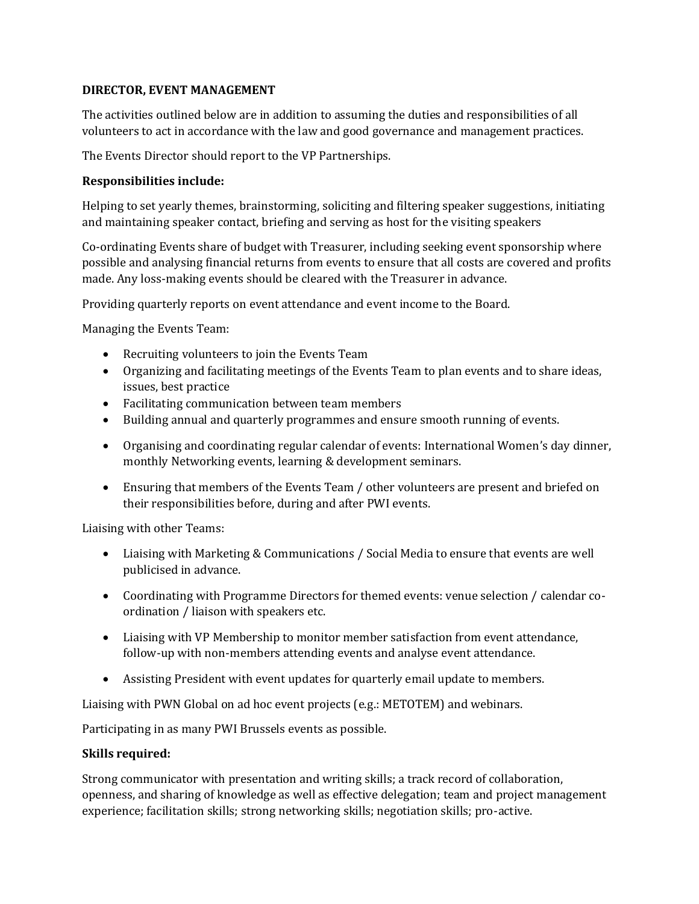## **DIRECTOR, EVENT MANAGEMENT**

The activities outlined below are in addition to assuming the duties and responsibilities of all volunteers to act in accordance with the law and good governance and management practices.

The Events Director should report to the VP Partnerships.

## **Responsibilities include:**

Helping to set yearly themes, brainstorming, soliciting and filtering speaker suggestions, initiating and maintaining speaker contact, briefing and serving as host for the visiting speakers

Co-ordinating Events share of budget with Treasurer, including seeking event sponsorship where possible and analysing financial returns from events to ensure that all costs are covered and profits made. Any loss-making events should be cleared with the Treasurer in advance.

Providing quarterly reports on event attendance and event income to the Board.

Managing the Events Team:

- Recruiting volunteers to join the Events Team
- Organizing and facilitating meetings of the Events Team to plan events and to share ideas, issues, best practice
- Facilitating communication between team members
- Building annual and quarterly programmes and ensure smooth running of events.
- Organising and coordinating regular calendar of events: International Women's day dinner, monthly Networking events, learning & development seminars.
- Ensuring that members of the Events Team / other volunteers are present and briefed on their responsibilities before, during and after PWI events.

Liaising with other Teams:

- Liaising with Marketing & Communications / Social Media to ensure that events are well publicised in advance.
- Coordinating with Programme Directors for themed events: venue selection / calendar coordination / liaison with speakers etc.
- Liaising with VP Membership to monitor member satisfaction from event attendance, follow-up with non-members attending events and analyse event attendance.
- Assisting President with event updates for quarterly email update to members.

Liaising with PWN Global on ad hoc event projects (e.g.: METOTEM) and webinars.

Participating in as many PWI Brussels events as possible.

## **Skills required:**

Strong communicator with presentation and writing skills; a track record of collaboration, openness, and sharing of knowledge as well as effective delegation; team and project management experience; facilitation skills; strong networking skills; negotiation skills; pro-active.